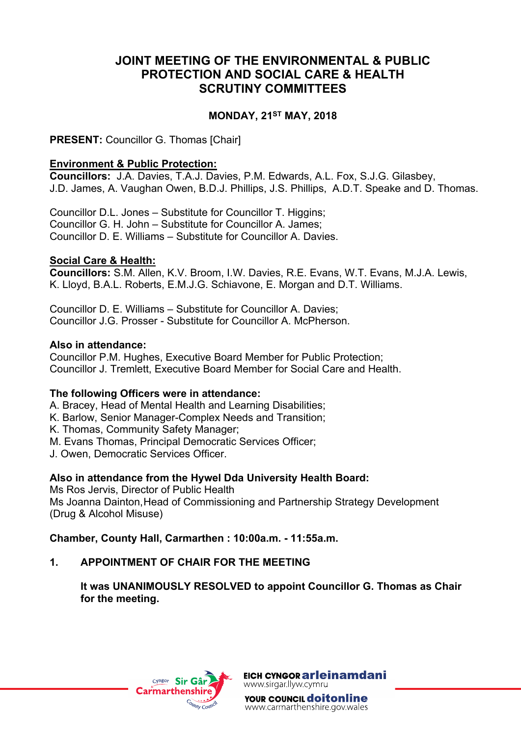# **JOINT MEETING OF THE ENVIRONMENTAL & PUBLIC PROTECTION AND SOCIAL CARE & HEALTH SCRUTINY COMMITTEES**

## **MONDAY, 21ST MAY, 2018**

**PRESENT: Councillor G. Thomas [Chair]** 

#### **Environment & Public Protection:**

**Councillors:** J.A. Davies, T.A.J. Davies, P.M. Edwards, A.L. Fox, S.J.G. Gilasbey, J.D. James, A. Vaughan Owen, B.D.J. Phillips, J.S. Phillips, A.D.T. Speake and D. Thomas.

Councillor D.L. Jones – Substitute for Councillor T. Higgins; Councillor G. H. John – Substitute for Councillor A. James; Councillor D. E. Williams – Substitute for Councillor A. Davies.

## **Social Care & Health:**

**Councillors:** S.M. Allen, K.V. Broom, I.W. Davies, R.E. Evans, W.T. Evans, M.J.A. Lewis, K. Lloyd, B.A.L. Roberts, E.M.J.G. Schiavone, E. Morgan and D.T. Williams.

Councillor D. E. Williams – Substitute for Councillor A. Davies; Councillor J.G. Prosser - Substitute for Councillor A. McPherson.

#### **Also in attendance:**

Councillor P.M. Hughes, Executive Board Member for Public Protection; Councillor J. Tremlett, Executive Board Member for Social Care and Health.

#### **The following Officers were in attendance:**

- A. Bracey, Head of Mental Health and Learning Disabilities;
- K. Barlow, Senior Manager-Complex Needs and Transition;
- K. Thomas, Community Safety Manager;
- M. Evans Thomas, Principal Democratic Services Officer;
- J. Owen, Democratic Services Officer.

#### **Also in attendance from the Hywel Dda University Health Board:**

Ms Ros Jervis, Director of Public Health Ms Joanna Dainton,Head of Commissioning and Partnership Strategy Development (Drug & Alcohol Misuse)

# **Chamber, County Hall, Carmarthen : 10:00a.m. - 11:55a.m.**

#### **1. APPOINTMENT OF CHAIR FOR THE MEETING**

**It was UNANIMOUSLY RESOLVED to appoint Councillor G. Thomas as Chair for the meeting.**



EICH CYNGOR arleinamdani www.sirgar.llyw.cymru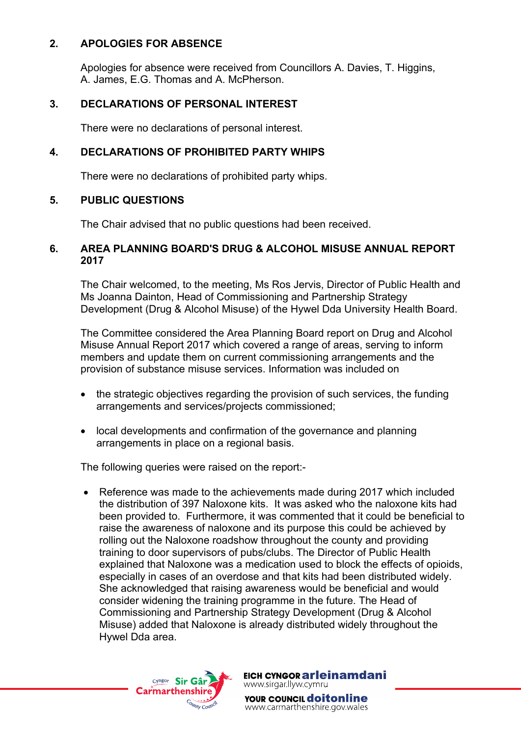## **2. APOLOGIES FOR ABSENCE**

Apologies for absence were received from Councillors A. Davies, T. Higgins, A. James, E.G. Thomas and A. McPherson.

## **3. DECLARATIONS OF PERSONAL INTEREST**

There were no declarations of personal interest.

## **4. DECLARATIONS OF PROHIBITED PARTY WHIPS**

There were no declarations of prohibited party whips.

#### **5. PUBLIC QUESTIONS**

The Chair advised that no public questions had been received.

#### **6. AREA PLANNING BOARD'S DRUG & ALCOHOL MISUSE ANNUAL REPORT 2017**

The Chair welcomed, to the meeting, Ms Ros Jervis, Director of Public Health and Ms Joanna Dainton, Head of Commissioning and Partnership Strategy Development (Drug & Alcohol Misuse) of the Hywel Dda University Health Board.

The Committee considered the Area Planning Board report on Drug and Alcohol Misuse Annual Report 2017 which covered a range of areas, serving to inform members and update them on current commissioning arrangements and the provision of substance misuse services. Information was included on

- the strategic objectives regarding the provision of such services, the funding arrangements and services/projects commissioned;
- local developments and confirmation of the governance and planning arrangements in place on a regional basis.

The following queries were raised on the report:-

• Reference was made to the achievements made during 2017 which included the distribution of 397 Naloxone kits. It was asked who the naloxone kits had been provided to. Furthermore, it was commented that it could be beneficial to raise the awareness of naloxone and its purpose this could be achieved by rolling out the Naloxone roadshow throughout the county and providing training to door supervisors of pubs/clubs. The Director of Public Health explained that Naloxone was a medication used to block the effects of [opioids,](https://en.wikipedia.org/wiki/Opioids) especially in cases of an [overdose](https://en.wikipedia.org/wiki/Opioid_overdose) and that kits had been distributed widely. She acknowledged that raising awareness would be beneficial and would consider widening the training programme in the future. The Head of Commissioning and Partnership Strategy Development (Drug & Alcohol Misuse) added that Naloxone is already distributed widely throughout the Hywel Dda area.



EICH CYNGOR arleinamdani www.sirgar.llyw.cymru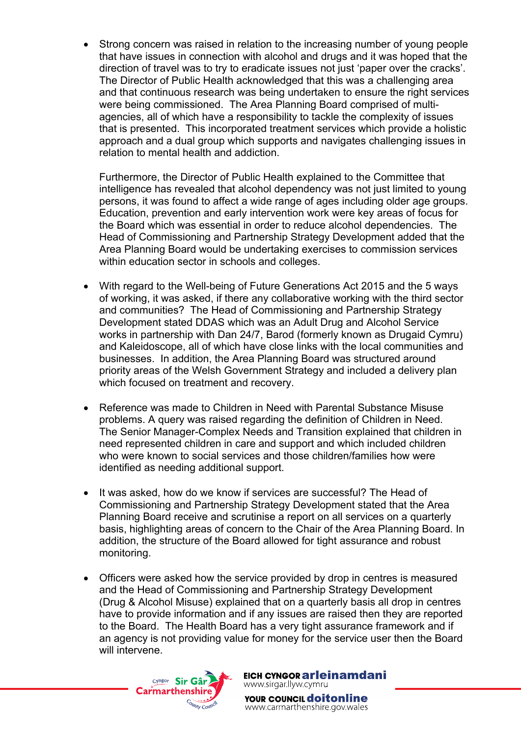Strong concern was raised in relation to the increasing number of young people that have issues in connection with alcohol and drugs and it was hoped that the direction of travel was to try to eradicate issues not just 'paper over the cracks'. The Director of Public Health acknowledged that this was a challenging area and that continuous research was being undertaken to ensure the right services were being commissioned. The Area Planning Board comprised of multiagencies, all of which have a responsibility to tackle the complexity of issues that is presented. This incorporated treatment services which provide a holistic approach and a dual group which supports and navigates challenging issues in relation to mental health and addiction.

Furthermore, the Director of Public Health explained to the Committee that intelligence has revealed that alcohol dependency was not just limited to young persons, it was found to affect a wide range of ages including older age groups. Education, prevention and early intervention work were key areas of focus for the Board which was essential in order to reduce alcohol dependencies. The Head of Commissioning and Partnership Strategy Development added that the Area Planning Board would be undertaking exercises to commission services within education sector in schools and colleges.

- With regard to the Well-being of Future Generations Act 2015 and the 5 ways of working, it was asked, if there any collaborative working with the third sector and communities? The Head of Commissioning and Partnership Strategy Development stated DDAS which was an Adult Drug and Alcohol Service works in partnership with Dan 24/7, Barod (formerly known as Drugaid Cymru) and Kaleidoscope, all of which have close links with the local communities and businesses. In addition, the Area Planning Board was structured around priority areas of the Welsh Government Strategy and included a delivery plan which focused on treatment and recovery.
- Reference was made to Children in Need with Parental Substance Misuse problems. A query was raised regarding the definition of Children in Need. The Senior Manager-Complex Needs and Transition explained that children in need represented children in care and support and which included children who were known to social services and those children/families how were identified as needing additional support.
- It was asked, how do we know if services are successful? The Head of Commissioning and Partnership Strategy Development stated that the Area Planning Board receive and scrutinise a report on all services on a quarterly basis, highlighting areas of concern to the Chair of the Area Planning Board. In addition, the structure of the Board allowed for tight assurance and robust monitoring.
- Officers were asked how the service provided by drop in centres is measured and the Head of Commissioning and Partnership Strategy Development (Drug & Alcohol Misuse) explained that on a quarterly basis all drop in centres have to provide information and if any issues are raised then they are reported to the Board. The Health Board has a very tight assurance framework and if an agency is not providing value for money for the service user then the Board will intervene.



EICH CYNGOR arleinamdani www.sirgar.llyw.cymru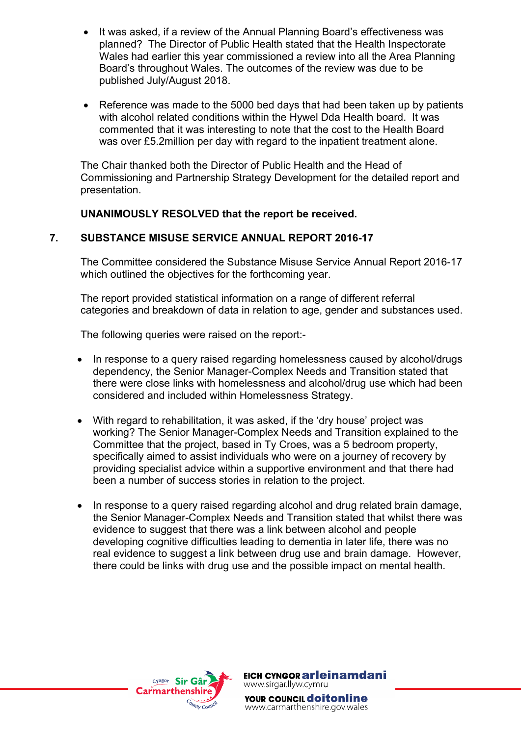- It was asked, if a review of the Annual Planning Board's effectiveness was planned? The Director of Public Health stated that the Health Inspectorate Wales had earlier this year commissioned a review into all the Area Planning Board's throughout Wales. The outcomes of the review was due to be published July/August 2018.
- Reference was made to the 5000 bed days that had been taken up by patients with alcohol related conditions within the Hywel Dda Health board. It was commented that it was interesting to note that the cost to the Health Board was over £5.2 million per day with regard to the inpatient treatment alone.

The Chair thanked both the Director of Public Health and the Head of Commissioning and Partnership Strategy Development for the detailed report and presentation.

## **UNANIMOUSLY RESOLVED that the report be received.**

## **7. SUBSTANCE MISUSE SERVICE ANNUAL REPORT 2016-17**

The Committee considered the Substance Misuse Service Annual Report 2016-17 which outlined the objectives for the forthcoming year.

The report provided statistical information on a range of different referral categories and breakdown of data in relation to age, gender and substances used.

The following queries were raised on the report:-

- In response to a query raised regarding homelessness caused by alcohol/drugs dependency, the Senior Manager-Complex Needs and Transition stated that there were close links with homelessness and alcohol/drug use which had been considered and included within Homelessness Strategy.
- With regard to rehabilitation, it was asked, if the 'dry house' project was working? The Senior Manager-Complex Needs and Transition explained to the Committee that the project, based in Ty Croes, was a 5 bedroom property, specifically aimed to assist individuals who were on a journey of recovery by providing specialist advice within a supportive environment and that there had been a number of success stories in relation to the project.
- In response to a query raised regarding alcohol and drug related brain damage, the Senior Manager-Complex Needs and Transition stated that whilst there was evidence to suggest that there was a link between alcohol and people developing cognitive difficulties leading to dementia in later life, there was no real evidence to suggest a link between drug use and brain damage. However, there could be links with drug use and the possible impact on mental health.



EICH CYNGOR arleinamdani www.sirgar.llyw.cymru